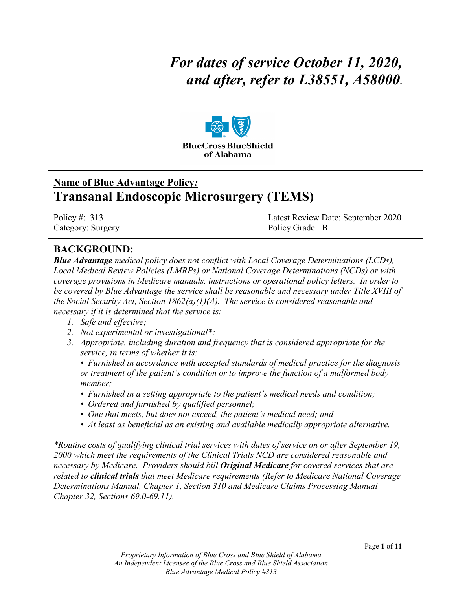# *For dates of service October 11, 2020, and after, refer to L38551, A58000***.**



# **Name of Blue Advantage Policy***:* **Transanal Endoscopic Microsurgery (TEMS)**

Category: Surgery **Policy Grade: B** 

Policy #: 313 Latest Review Date: September 2020

# **BACKGROUND:**

*Blue Advantage medical policy does not conflict with Local Coverage Determinations (LCDs), Local Medical Review Policies (LMRPs) or National Coverage Determinations (NCDs) or with coverage provisions in Medicare manuals, instructions or operational policy letters. In order to be covered by Blue Advantage the service shall be reasonable and necessary under Title XVIII of the Social Security Act, Section 1862(a)(1)(A). The service is considered reasonable and necessary if it is determined that the service is:*

- *1. Safe and effective;*
- *2. Not experimental or investigational\*;*
- *3. Appropriate, including duration and frequency that is considered appropriate for the service, in terms of whether it is:*

*• Furnished in accordance with accepted standards of medical practice for the diagnosis or treatment of the patient's condition or to improve the function of a malformed body member;*

- *Furnished in a setting appropriate to the patient's medical needs and condition;*
- *Ordered and furnished by qualified personnel;*
- *One that meets, but does not exceed, the patient's medical need; and*
- *At least as beneficial as an existing and available medically appropriate alternative.*

*\*Routine costs of qualifying clinical trial services with dates of service on or after September 19, 2000 which meet the requirements of the Clinical Trials NCD are considered reasonable and necessary by Medicare. Providers should bill Original Medicare for covered services that are related to clinical trials that meet Medicare requirements (Refer to Medicare National Coverage Determinations Manual, Chapter 1, Section 310 and Medicare Claims Processing Manual Chapter 32, Sections 69.0-69.11).*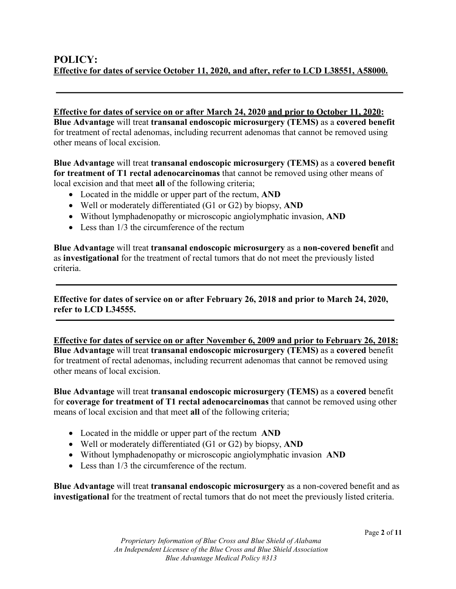**Effective for dates of service on or after March 24, 2020 and prior to October 11, 2020: Blue Advantage** will treat **transanal endoscopic microsurgery (TEMS)** as a **covered benefit**  for treatment of rectal adenomas, including recurrent adenomas that cannot be removed using other means of local excision.

#### **Blue Advantage** will treat **transanal endoscopic microsurgery (TEMS)** as a **covered benefit for treatment of T1 rectal adenocarcinomas** that cannot be removed using other means of local excision and that meet **all** of the following criteria;

- Located in the middle or upper part of the rectum, **AND**
- Well or moderately differentiated (G1 or G2) by biopsy, **AND**
- Without lymphadenopathy or microscopic angiolymphatic invasion, **AND**
- Less than  $1/3$  the circumference of the rectum

**Blue Advantage** will treat **transanal endoscopic microsurgery** as a **non-covered benefit** and as **investigational** for the treatment of rectal tumors that do not meet the previously listed criteria.

**Effective for dates of service on or after February 26, 2018 and prior to March 24, 2020, refer to LCD L34555.**

**Effective for dates of service on or after November 6, 2009 and prior to February 26, 2018: Blue Advantage** will treat **transanal endoscopic microsurgery (TEMS)** as a **covered** benefit for treatment of rectal adenomas, including recurrent adenomas that cannot be removed using other means of local excision.

**Blue Advantage** will treat **transanal endoscopic microsurgery (TEMS)** as a **covered** benefit for **coverage for treatment of T1 rectal adenocarcinomas** that cannot be removed using other means of local excision and that meet **all** of the following criteria;

- Located in the middle or upper part of the rectum **AND**
- Well or moderately differentiated (G1 or G2) by biopsy, **AND**
- Without lymphadenopathy or microscopic angiolymphatic invasion **AND**
- Less than 1/3 the circumference of the rectum.

**Blue Advantage** will treat **transanal endoscopic microsurgery** as a non-covered benefit and as **investigational** for the treatment of rectal tumors that do not meet the previously listed criteria.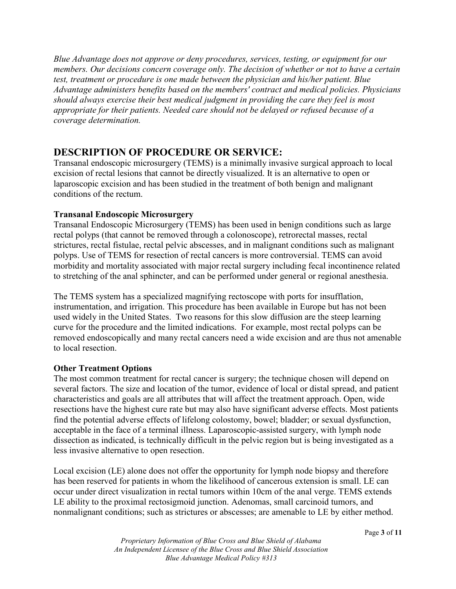*Blue Advantage does not approve or deny procedures, services, testing, or equipment for our members. Our decisions concern coverage only. The decision of whether or not to have a certain test, treatment or procedure is one made between the physician and his/her patient. Blue Advantage administers benefits based on the members' contract and medical policies. Physicians should always exercise their best medical judgment in providing the care they feel is most appropriate for their patients. Needed care should not be delayed or refused because of a coverage determination.*

# **DESCRIPTION OF PROCEDURE OR SERVICE:**

Transanal endoscopic microsurgery (TEMS) is a minimally invasive surgical approach to local excision of rectal lesions that cannot be directly visualized. It is an alternative to open or laparoscopic excision and has been studied in the treatment of both benign and malignant conditions of the rectum.

#### **Transanal Endoscopic Microsurgery**

Transanal Endoscopic Microsurgery (TEMS) has been used in benign conditions such as large rectal polyps (that cannot be removed through a colonoscope), retrorectal masses, rectal strictures, rectal fistulae, rectal pelvic abscesses, and in malignant conditions such as malignant polyps. Use of TEMS for resection of rectal cancers is more controversial. TEMS can avoid morbidity and mortality associated with major rectal surgery including fecal incontinence related to stretching of the anal sphincter, and can be performed under general or regional anesthesia.

The TEMS system has a specialized magnifying rectoscope with ports for insufflation, instrumentation, and irrigation. This procedure has been available in Europe but has not been used widely in the United States. Two reasons for this slow diffusion are the steep learning curve for the procedure and the limited indications. For example, most rectal polyps can be removed endoscopically and many rectal cancers need a wide excision and are thus not amenable to local resection.

#### **Other Treatment Options**

The most common treatment for rectal cancer is surgery; the technique chosen will depend on several factors. The size and location of the tumor, evidence of local or distal spread, and patient characteristics and goals are all attributes that will affect the treatment approach. Open, wide resections have the highest cure rate but may also have significant adverse effects. Most patients find the potential adverse effects of lifelong colostomy, bowel; bladder; or sexual dysfunction, acceptable in the face of a terminal illness. Laparoscopic-assisted surgery, with lymph node dissection as indicated, is technically difficult in the pelvic region but is being investigated as a less invasive alternative to open resection.

Local excision (LE) alone does not offer the opportunity for lymph node biopsy and therefore has been reserved for patients in whom the likelihood of cancerous extension is small. LE can occur under direct visualization in rectal tumors within 10cm of the anal verge. TEMS extends LE ability to the proximal rectosigmoid junction. Adenomas, small carcinoid tumors, and nonmalignant conditions; such as strictures or abscesses; are amenable to LE by either method.

*Proprietary Information of Blue Cross and Blue Shield of Alabama An Independent Licensee of the Blue Cross and Blue Shield Association Blue Advantage Medical Policy #313*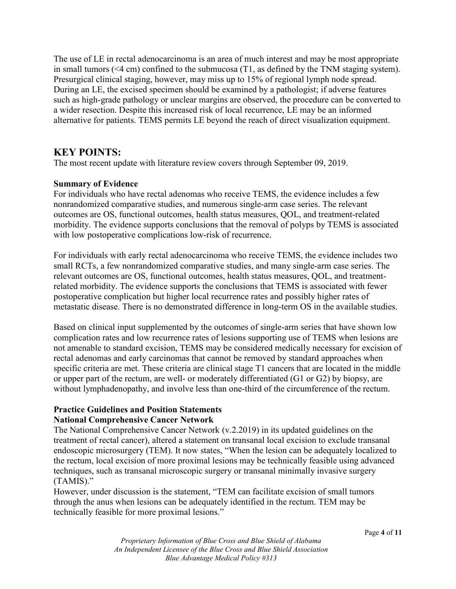The use of LE in rectal adenocarcinoma is an area of much interest and may be most appropriate in small tumors (<4 cm) confined to the submucosa (T1, as defined by the TNM staging system). Presurgical clinical staging, however, may miss up to 15% of regional lymph node spread. During an LE, the excised specimen should be examined by a pathologist; if adverse features such as high-grade pathology or unclear margins are observed, the procedure can be converted to a wider resection. Despite this increased risk of local recurrence, LE may be an informed alternative for patients. TEMS permits LE beyond the reach of direct visualization equipment.

# **KEY POINTS:**

The most recent update with literature review covers through September 09, 2019.

#### **Summary of Evidence**

For individuals who have rectal adenomas who receive TEMS, the evidence includes a few nonrandomized comparative studies, and numerous single-arm case series. The relevant outcomes are OS, functional outcomes, health status measures, QOL, and treatment-related morbidity. The evidence supports conclusions that the removal of polyps by TEMS is associated with low postoperative complications low-risk of recurrence.

For individuals with early rectal adenocarcinoma who receive TEMS, the evidence includes two small RCTs, a few nonrandomized comparative studies, and many single-arm case series. The relevant outcomes are OS, functional outcomes, health status measures, QOL, and treatmentrelated morbidity. The evidence supports the conclusions that TEMS is associated with fewer postoperative complication but higher local recurrence rates and possibly higher rates of metastatic disease. There is no demonstrated difference in long-term OS in the available studies.

Based on clinical input supplemented by the outcomes of single-arm series that have shown low complication rates and low recurrence rates of lesions supporting use of TEMS when lesions are not amenable to standard excision, TEMS may be considered medically necessary for excision of rectal adenomas and early carcinomas that cannot be removed by standard approaches when specific criteria are met. These criteria are clinical stage T1 cancers that are located in the middle or upper part of the rectum, are well- or moderately differentiated (G1 or G2) by biopsy, are without lymphadenopathy, and involve less than one-third of the circumference of the rectum.

#### **Practice Guidelines and Position Statements National Comprehensive Cancer Network**

The National Comprehensive Cancer Network (v.2.2019) in its updated guidelines on the treatment of rectal cancer), altered a statement on transanal local excision to exclude transanal endoscopic microsurgery (TEM). It now states, "When the lesion can be adequately localized to the rectum, local excision of more proximal lesions may be technically feasible using advanced techniques, such as transanal microscopic surgery or transanal minimally invasive surgery (TAMIS)."

However, under discussion is the statement, "TEM can facilitate excision of small tumors through the anus when lesions can be adequately identified in the rectum. TEM may be technically feasible for more proximal lesions."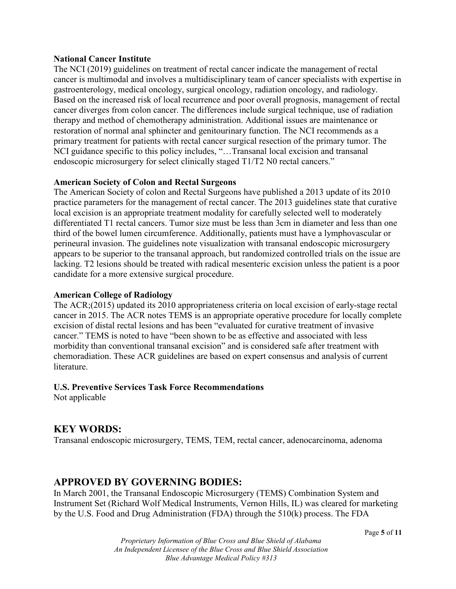#### **National Cancer Institute**

The NCI (2019) guidelines on treatment of rectal cancer indicate the management of rectal cancer is multimodal and involves a multidisciplinary team of cancer specialists with expertise in gastroenterology, medical oncology, surgical oncology, radiation oncology, and radiology. Based on the increased risk of local recurrence and poor overall prognosis, management of rectal cancer diverges from colon cancer. The differences include surgical technique, use of radiation therapy and method of chemotherapy administration. Additional issues are maintenance or restoration of normal anal sphincter and genitourinary function. The NCI recommends as a primary treatment for patients with rectal cancer surgical resection of the primary tumor. The NCI guidance specific to this policy includes, "…Transanal local excision and transanal endoscopic microsurgery for select clinically staged T1/T2 N0 rectal cancers."

#### **American Society of Colon and Rectal Surgeons**

The American Society of colon and Rectal Surgeons have published a 2013 update of its 2010 practice parameters for the management of rectal cancer. The 2013 guidelines state that curative local excision is an appropriate treatment modality for carefully selected well to moderately differentiated T1 rectal cancers. Tumor size must be less than 3cm in diameter and less than one third of the bowel lumen circumference. Additionally, patients must have a lymphovascular or perineural invasion. The guidelines note visualization with transanal endoscopic microsurgery appears to be superior to the transanal approach, but randomized controlled trials on the issue are lacking. T2 lesions should be treated with radical mesenteric excision unless the patient is a poor candidate for a more extensive surgical procedure.

#### **American College of Radiology**

The ACR;(2015) updated its 2010 appropriateness criteria on local excision of early-stage rectal cancer in 2015. The ACR notes TEMS is an appropriate operative procedure for locally complete excision of distal rectal lesions and has been "evaluated for curative treatment of invasive cancer." TEMS is noted to have "been shown to be as effective and associated with less morbidity than conventional transanal excision" and is considered safe after treatment with chemoradiation. These ACR guidelines are based on expert consensus and analysis of current literature.

#### **U.S. Preventive Services Task Force Recommendations**

Not applicable

### **KEY WORDS:**

Transanal endoscopic microsurgery, TEMS, TEM, rectal cancer, adenocarcinoma, adenoma

# **APPROVED BY GOVERNING BODIES:**

In March 2001, the Transanal Endoscopic Microsurgery (TEMS) Combination System and Instrument Set (Richard Wolf Medical Instruments, Vernon Hills, IL) was cleared for marketing by the U.S. Food and Drug Administration (FDA) through the 510(k) process. The FDA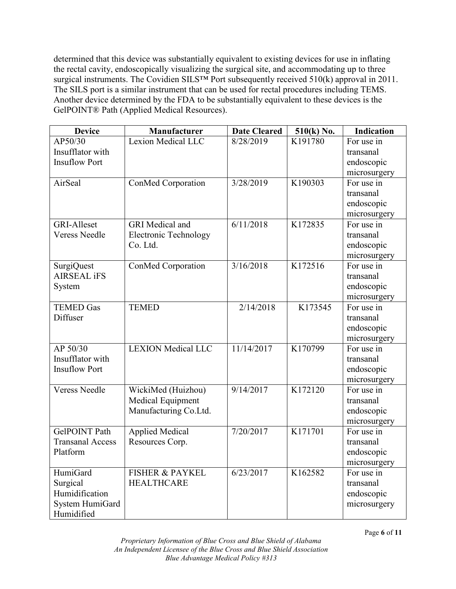determined that this device was substantially equivalent to existing devices for use in inflating the rectal cavity, endoscopically visualizing the surgical site, and accommodating up to three surgical instruments. The Covidien SILS<sup>TM</sup> Port subsequently received 510(k) approval in 2011. The SILS port is a similar instrument that can be used for rectal procedures including TEMS. Another device determined by the FDA to be substantially equivalent to these devices is the GelPOINT® Path (Applied Medical Resources).

| <b>Device</b>           | Manufacturer                 | <b>Date Cleared</b> | 510(k) No. | <b>Indication</b> |
|-------------------------|------------------------------|---------------------|------------|-------------------|
| AP50/30                 | Lexion Medical LLC           | 8/28/2019           | K191780    | For use in        |
| Insufflator with        |                              |                     |            | transanal         |
| <b>Insuflow Port</b>    |                              |                     |            | endoscopic        |
|                         |                              |                     |            | microsurgery      |
| AirSeal                 | ConMed Corporation           | 3/28/2019           | K190303    | For use in        |
|                         |                              |                     |            | transanal         |
|                         |                              |                     |            | endoscopic        |
|                         |                              |                     |            | microsurgery      |
| <b>GRI-Alleset</b>      | <b>GRI</b> Medical and       | 6/11/2018           | K172835    | For use in        |
| <b>Veress Needle</b>    | <b>Electronic Technology</b> |                     |            | transanal         |
|                         | Co. Ltd.                     |                     |            | endoscopic        |
|                         |                              |                     |            | microsurgery      |
| <b>SurgiQuest</b>       | ConMed Corporation           | 3/16/2018           | K172516    | For use in        |
| <b>AIRSEAL iFS</b>      |                              |                     |            | transanal         |
| System                  |                              |                     |            | endoscopic        |
|                         |                              |                     |            | microsurgery      |
| <b>TEMED Gas</b>        | <b>TEMED</b>                 | 2/14/2018           | K173545    | For use in        |
| Diffuser                |                              |                     |            | transanal         |
|                         |                              |                     |            | endoscopic        |
|                         |                              |                     |            | microsurgery      |
| AP 50/30                | <b>LEXION</b> Medical LLC    | 11/14/2017          | K170799    | For use in        |
| Insufflator with        |                              |                     |            | transanal         |
| <b>Insuflow Port</b>    |                              |                     |            | endoscopic        |
|                         |                              |                     |            | microsurgery      |
| <b>Veress Needle</b>    | WickiMed (Huizhou)           | 9/14/2017           | K172120    | For use in        |
|                         | Medical Equipment            |                     |            | transanal         |
|                         | Manufacturing Co.Ltd.        |                     |            | endoscopic        |
|                         |                              |                     |            | microsurgery      |
| <b>GelPOINT Path</b>    | <b>Applied Medical</b>       | 7/20/2017           | K171701    | For use in        |
| <b>Transanal Access</b> | Resources Corp.              |                     |            | transanal         |
| Platform                |                              |                     |            | endoscopic        |
|                         |                              |                     |            | microsurgery      |
| HumiGard                | <b>FISHER &amp; PAYKEL</b>   | 6/23/2017           | K162582    | For use in        |
| Surgical                | <b>HEALTHCARE</b>            |                     |            | transanal         |
| Humidification          |                              |                     |            | endoscopic        |
| System HumiGard         |                              |                     |            | microsurgery      |
| Humidified              |                              |                     |            |                   |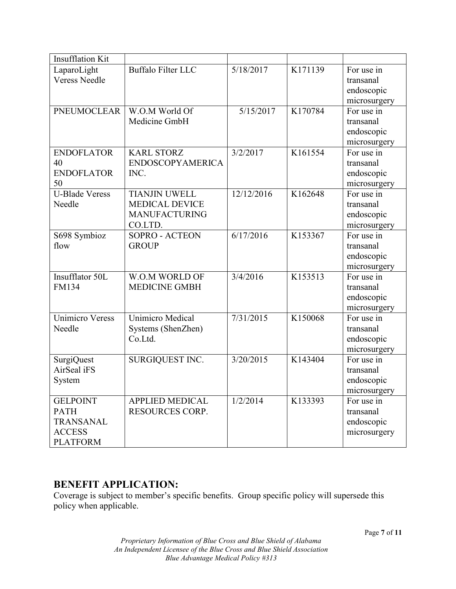| <b>Insufflation Kit</b>                                                                |                                                                                  |            |         |                                                       |
|----------------------------------------------------------------------------------------|----------------------------------------------------------------------------------|------------|---------|-------------------------------------------------------|
| LaparoLight<br><b>Veress Needle</b>                                                    | <b>Buffalo Filter LLC</b>                                                        | 5/18/2017  | K171139 | For use in<br>transanal<br>endoscopic<br>microsurgery |
| <b>PNEUMOCLEAR</b>                                                                     | W.O.M World Of<br>Medicine GmbH                                                  | 5/15/2017  | K170784 | For use in<br>transanal<br>endoscopic<br>microsurgery |
| <b>ENDOFLATOR</b><br>40<br><b>ENDOFLATOR</b><br>50                                     | <b>KARL STORZ</b><br><b>ENDOSCOPYAMERICA</b><br>INC.                             | 3/2/2017   | K161554 | For use in<br>transanal<br>endoscopic<br>microsurgery |
| <b>U-Blade Veress</b><br>Needle                                                        | <b>TIANJIN UWELL</b><br><b>MEDICAL DEVICE</b><br><b>MANUFACTURING</b><br>CO.LTD. | 12/12/2016 | K162648 | For use in<br>transanal<br>endoscopic<br>microsurgery |
| S698 Symbioz<br>flow                                                                   | <b>SOPRO - ACTEON</b><br><b>GROUP</b>                                            | 6/17/2016  | K153367 | For use in<br>transanal<br>endoscopic<br>microsurgery |
| Insufflator 50L<br><b>FM134</b>                                                        | W.O.M WORLD OF<br><b>MEDICINE GMBH</b>                                           | 3/4/2016   | K153513 | For use in<br>transanal<br>endoscopic<br>microsurgery |
| <b>Unimicro Veress</b><br>Needle                                                       | <b>Unimicro Medical</b><br>Systems (ShenZhen)<br>Co.Ltd.                         | 7/31/2015  | K150068 | For use in<br>transanal<br>endoscopic<br>microsurgery |
| <b>SurgiQuest</b><br>AirSeal iFS<br>System                                             | SURGIQUEST INC.                                                                  | 3/20/2015  | K143404 | For use in<br>transanal<br>endoscopic<br>microsurgery |
| <b>GELPOINT</b><br><b>PATH</b><br><b>TRANSANAL</b><br><b>ACCESS</b><br><b>PLATFORM</b> | <b>APPLIED MEDICAL</b><br>RESOURCES CORP.                                        | 1/2/2014   | K133393 | For use in<br>transanal<br>endoscopic<br>microsurgery |

# **BENEFIT APPLICATION:**

Coverage is subject to member's specific benefits. Group specific policy will supersede this policy when applicable.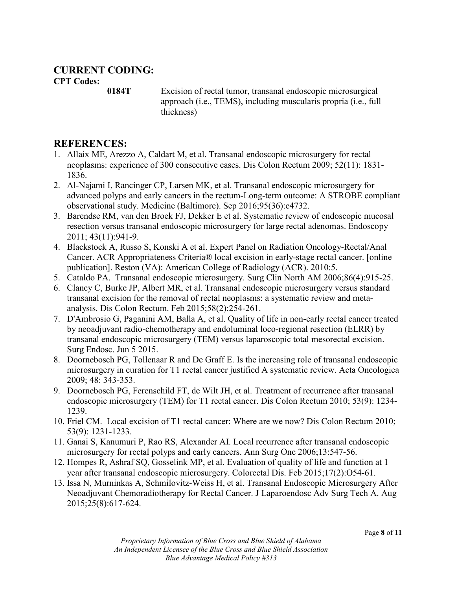## **CURRENT CODING: CPT Codes:**

**0184T** Excision of rectal tumor, transanal endoscopic microsurgical approach (i.e., TEMS), including muscularis propria (i.e., full thickness)

# **REFERENCES:**

- 1. Allaix ME, Arezzo A, Caldart M, et al. Transanal endoscopic microsurgery for rectal neoplasms: experience of 300 consecutive cases. Dis Colon Rectum 2009; 52(11): 1831- 1836.
- 2. Al-Najami I, Rancinger CP, Larsen MK, et al. Transanal endoscopic microsurgery for advanced polyps and early cancers in the rectum-Long-term outcome: A STROBE compliant observational study. Medicine (Baltimore). Sep 2016;95(36):e4732.
- 3. Barendse RM, van den Broek FJ, Dekker E et al. Systematic review of endoscopic mucosal resection versus transanal endoscopic microsurgery for large rectal adenomas. Endoscopy 2011; 43(11):941-9.
- 4. Blackstock A, Russo S, Konski A et al. Expert Panel on Radiation Oncology-Rectal/Anal Cancer. ACR Appropriateness Criteria® local excision in early-stage rectal cancer. [online publication]. Reston (VA): American College of Radiology (ACR). 2010:5.
- 5. Cataldo PA. Transanal endoscopic microsurgery. Surg Clin North AM 2006;86(4):915-25.
- 6. Clancy C, Burke JP, Albert MR, et al. Transanal endoscopic microsurgery versus standard transanal excision for the removal of rectal neoplasms: a systematic review and metaanalysis. Dis Colon Rectum. Feb 2015;58(2):254-261.
- 7. D'Ambrosio G, Paganini AM, Balla A, et al. Quality of life in non-early rectal cancer treated by neoadjuvant radio-chemotherapy and endoluminal loco-regional resection (ELRR) by transanal endoscopic microsurgery (TEM) versus laparoscopic total mesorectal excision. Surg Endosc. Jun 5 2015.
- 8. Doornebosch PG, Tollenaar R and De Graff E. Is the increasing role of transanal endoscopic microsurgery in curation for T1 rectal cancer justified A systematic review. Acta Oncologica 2009; 48: 343-353.
- 9. Doornebosch PG, Ferenschild FT, de Wilt JH, et al. Treatment of recurrence after transanal endoscopic microsurgery (TEM) for T1 rectal cancer. Dis Colon Rectum 2010; 53(9): 1234- 1239.
- 10. Friel CM. Local excision of T1 rectal cancer: Where are we now? Dis Colon Rectum 2010; 53(9): 1231-1233.
- 11. Ganai S, Kanumuri P, Rao RS, Alexander AI. Local recurrence after transanal endoscopic microsurgery for rectal polyps and early cancers. Ann Surg Onc 2006;13:547-56.
- 12. Hompes R, Ashraf SQ, Gosselink MP, et al. Evaluation of quality of life and function at 1 year after transanal endoscopic microsurgery. Colorectal Dis. Feb 2015;17(2):O54-61.
- 13. Issa N, Murninkas A, Schmilovitz-Weiss H, et al. Transanal Endoscopic Microsurgery After Neoadjuvant Chemoradiotherapy for Rectal Cancer. J Laparoendosc Adv Surg Tech A. Aug 2015;25(8):617-624.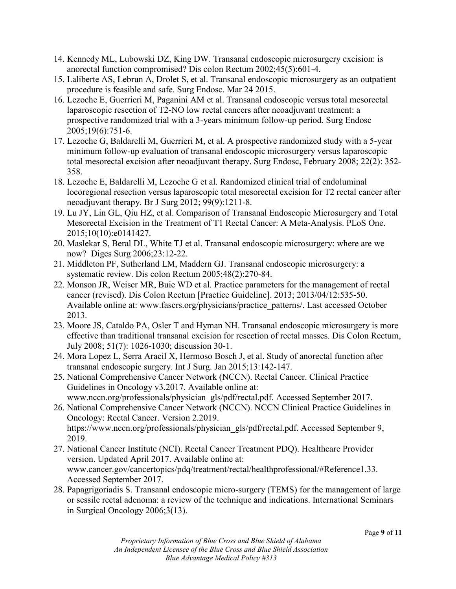- 14. Kennedy ML, Lubowski DZ, King DW. Transanal endoscopic microsurgery excision: is anorectal function compromised? Dis colon Rectum 2002;45(5):601-4.
- 15. Laliberte AS, Lebrun A, Drolet S, et al. Transanal endoscopic microsurgery as an outpatient procedure is feasible and safe. Surg Endosc. Mar 24 2015.
- 16. Lezoche E, Guerrieri M, Paganini AM et al. Transanal endoscopic versus total mesorectal laparoscopic resection of T2-NO low rectal cancers after neoadjuvant treatment: a prospective randomized trial with a 3-years minimum follow-up period. Surg Endosc 2005;19(6):751-6.
- 17. Lezoche G, Baldarelli M, Guerrieri M, et al. A prospective randomized study with a 5-year minimum follow-up evaluation of transanal endoscopic microsurgery versus laparoscopic total mesorectal excision after neoadjuvant therapy. Surg Endosc, February 2008; 22(2): 352- 358.
- 18. Lezoche E, Baldarelli M, Lezoche G et al. Randomized clinical trial of endoluminal locoregional resection versus laparoscopic total mesorectal excision for T2 rectal cancer after neoadjuvant therapy. Br J Surg 2012; 99(9):1211-8.
- 19. Lu JY, Lin GL, Qiu HZ, et al. Comparison of Transanal Endoscopic Microsurgery and Total Mesorectal Excision in the Treatment of T1 Rectal Cancer: A Meta-Analysis. PLoS One. 2015;10(10):e0141427.
- 20. Maslekar S, Beral DL, White TJ et al. Transanal endoscopic microsurgery: where are we now? Diges Surg 2006;23:12-22.
- 21. Middleton PF, Sutherland LM, Maddern GJ. Transanal endoscopic microsurgery: a systematic review. Dis colon Rectum 2005;48(2):270-84.
- 22. Monson JR, Weiser MR, Buie WD et al. Practice parameters for the management of rectal cancer (revised). Dis Colon Rectum [Practice Guideline]. 2013; 2013/04/12:535-50. Available online at: www.fascrs.org/physicians/practice\_patterns/. Last accessed October 2013.
- 23. Moore JS, Cataldo PA, Osler T and Hyman NH. Transanal endoscopic microsurgery is more effective than traditional transanal excision for resection of rectal masses. Dis Colon Rectum, July 2008; 51(7): 1026-1030; discussion 30-1.
- 24. Mora Lopez L, Serra Aracil X, Hermoso Bosch J, et al. Study of anorectal function after transanal endoscopic surgery. Int J Surg. Jan 2015;13:142-147.
- 25. National Comprehensive Cancer Network (NCCN). Rectal Cancer. Clinical Practice Guidelines in Oncology v3.2017. Available online at: www.nccn.org/professionals/physician\_gls/pdf/rectal.pdf. Accessed September 2017.
- 26. National Comprehensive Cancer Network (NCCN). NCCN Clinical Practice Guidelines in Oncology: Rectal Cancer. Version 2.2019. https://www.nccn.org/professionals/physician\_gls/pdf/rectal.pdf. Accessed September 9, 2019.
- 27. National Cancer Institute (NCI). Rectal Cancer Treatment PDQ). Healthcare Provider version. Updated April 2017. Available online at: www.cancer.gov/cancertopics/pdq/treatment/rectal/healthprofessional/#Reference1.33. Accessed September 2017.
- 28. Papagrigoriadis S. Transanal endoscopic micro-surgery (TEMS) for the management of large or sessile rectal adenoma: a review of the technique and indications. International Seminars in Surgical Oncology 2006;3(13).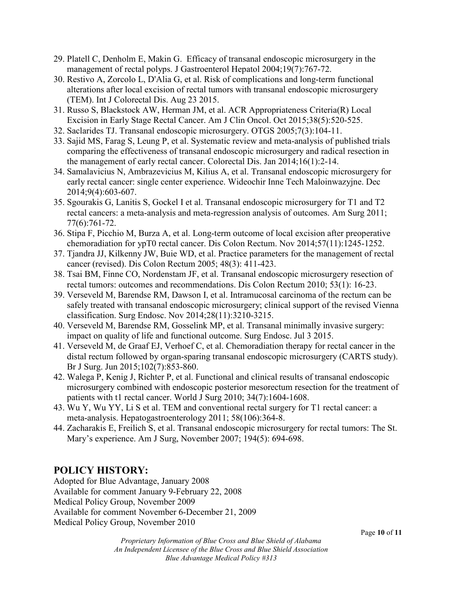- 29. Platell C, Denholm E, Makin G. Efficacy of transanal endoscopic microsurgery in the management of rectal polyps. J Gastroenterol Hepatol 2004;19(7):767-72.
- 30. Restivo A, Zorcolo L, D'Alia G, et al. Risk of complications and long-term functional alterations after local excision of rectal tumors with transanal endoscopic microsurgery (TEM). Int J Colorectal Dis. Aug 23 2015.
- 31. Russo S, Blackstock AW, Herman JM, et al. ACR Appropriateness Criteria(R) Local Excision in Early Stage Rectal Cancer. Am J Clin Oncol. Oct 2015;38(5):520-525.
- 32. Saclarides TJ. Transanal endoscopic microsurgery. OTGS 2005;7(3):104-11.
- 33. Sajid MS, Farag S, Leung P, et al. Systematic review and meta-analysis of published trials comparing the effectiveness of transanal endoscopic microsurgery and radical resection in the management of early rectal cancer. Colorectal Dis. Jan 2014;16(1):2-14.
- 34. Samalavicius N, Ambrazevicius M, Kilius A, et al. Transanal endoscopic microsurgery for early rectal cancer: single center experience. Wideochir Inne Tech Maloinwazyjne. Dec 2014;9(4):603-607.
- 35. Sgourakis G, Lanitis S, Gockel I et al. Transanal endoscopic microsurgery for T1 and T2 rectal cancers: a meta-analysis and meta-regression analysis of outcomes. Am Surg 2011; 77(6):761-72.
- 36. Stipa F, Picchio M, Burza A, et al. Long-term outcome of local excision after preoperative chemoradiation for ypT0 rectal cancer. Dis Colon Rectum. Nov 2014;57(11):1245-1252.
- 37. Tjandra JJ, Kilkenny JW, Buie WD, et al. Practice parameters for the management of rectal cancer (revised). Dis Colon Rectum 2005; 48(3): 411-423.
- 38. Tsai BM, Finne CO, Nordenstam JF, et al. Transanal endoscopic microsurgery resection of rectal tumors: outcomes and recommendations. Dis Colon Rectum 2010; 53(1): 16-23.
- 39. Verseveld M, Barendse RM, Dawson I, et al. Intramucosal carcinoma of the rectum can be safely treated with transanal endoscopic microsurgery; clinical support of the revised Vienna classification. Surg Endosc. Nov 2014;28(11):3210-3215.
- 40. Verseveld M, Barendse RM, Gosselink MP, et al. Transanal minimally invasive surgery: impact on quality of life and functional outcome. Surg Endosc. Jul 3 2015.
- 41. Verseveld M, de Graaf EJ, Verhoef C, et al. Chemoradiation therapy for rectal cancer in the distal rectum followed by organ-sparing transanal endoscopic microsurgery (CARTS study). Br J Surg. Jun 2015;102(7):853-860.
- 42. Walega P, Kenig J, Richter P, et al. Functional and clinical results of transanal endoscopic microsurgery combined with endoscopic posterior mesorectum resection for the treatment of patients with t1 rectal cancer. World J Surg 2010; 34(7):1604-1608.
- 43. Wu Y, Wu YY, Li S et al. TEM and conventional rectal surgery for T1 rectal cancer: a meta-analysis. Hepatogastroenterology 2011; 58(106):364-8.
- 44. Zacharakis E, Freilich S, et al. Transanal endoscopic microsurgery for rectal tumors: The St. Mary's experience. Am J Surg, November 2007; 194(5): 694-698.

# **POLICY HISTORY:**

Adopted for Blue Advantage, January 2008 Available for comment January 9-February 22, 2008 Medical Policy Group, November 2009 Available for comment November 6-December 21, 2009 Medical Policy Group, November 2010

*Proprietary Information of Blue Cross and Blue Shield of Alabama An Independent Licensee of the Blue Cross and Blue Shield Association Blue Advantage Medical Policy #313*